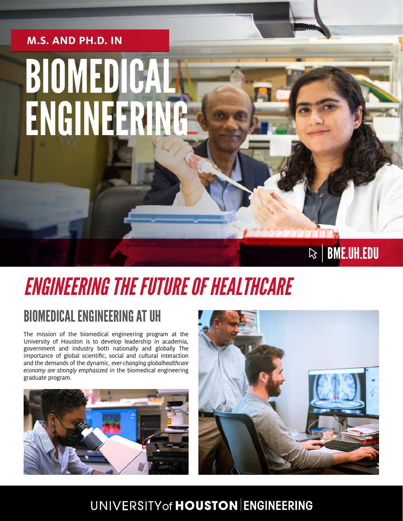# BIOMEDICAL ENGINEERING **M.S. AND PH.D. IN**

## *ENGINEERING THE FUTURE OF HEALTHCARE*

### BIOMEDICAL ENGINEERING AT UH

The mission of the biomedical engineering program at the University of Houston is to develop leadership in academia, government and industry both nationally and globally The importance of global scientific, social and cultural interaction and the demands of the dynamic, *ever-changing globalhealthcare economy are strongly emphasized* in the biomedical engineering graduate program.





 $\mathbb{R}$  | BME.UH.EDU

#### UNIVERSITY of HOUSTON ENGINEERING